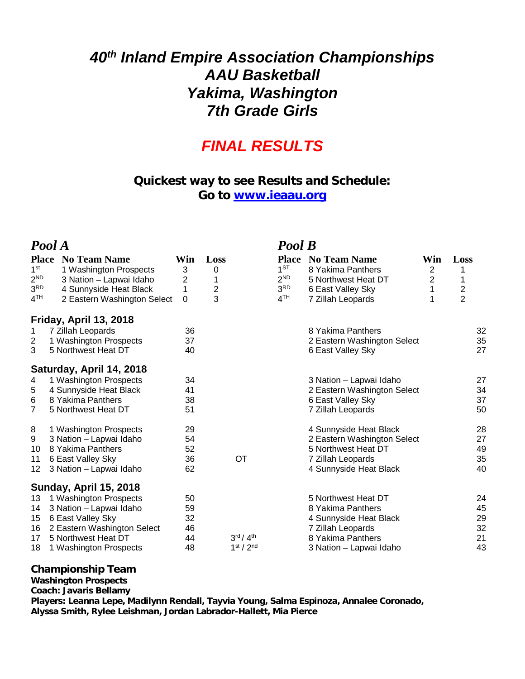# *40th Inland Empire Association Championships AAU Basketball Yakima, Washington 7th Grade Girls*

## *FINAL RESULTS*

### **Quickest way to see Results and Schedule: Go to [www.ieaau.org](http://www.ieaau.org)**

| Pool A                                                                            |                                                                                                                                                        |                                   |                                                                    |                                                                                          | Pool B                                                                                                                                  |                                      |                                          |                                  |
|-----------------------------------------------------------------------------------|--------------------------------------------------------------------------------------------------------------------------------------------------------|-----------------------------------|--------------------------------------------------------------------|------------------------------------------------------------------------------------------|-----------------------------------------------------------------------------------------------------------------------------------------|--------------------------------------|------------------------------------------|----------------------------------|
| <b>Place</b><br>1 <sup>st</sup><br>$2^{ND}$<br>3 <sup>RD</sup><br>4 <sup>TH</sup> | <b>No Team Name</b><br>1 Washington Prospects<br>3 Nation - Lapwai Idaho<br>4 Sunnyside Heat Black<br>2 Eastern Washington Select                      | Win<br>3<br>2<br>1<br>$\mathbf 0$ | Loss<br>0<br>1<br>$\overline{c}$<br>3                              | <b>Place</b><br>1 <sub>ST</sub><br>2 <sup>ND</sup><br>3 <sup>RD</sup><br>4 <sup>TH</sup> | <b>No Team Name</b><br>8 Yakima Panthers<br>5 Northwest Heat DT<br>6 East Valley Sky<br>7 Zillah Leopards                               | Win<br>2<br>$\overline{2}$<br>1<br>1 | Loss<br>$\overline{2}$<br>$\overline{2}$ |                                  |
|                                                                                   | Friday, April 13, 2018                                                                                                                                 |                                   |                                                                    |                                                                                          |                                                                                                                                         |                                      |                                          |                                  |
| 1<br>$\overline{c}$<br>3                                                          | 7 Zillah Leopards<br>1 Washington Prospects<br>5 Northwest Heat DT                                                                                     | 36<br>37<br>40                    |                                                                    |                                                                                          | 8 Yakima Panthers<br>2 Eastern Washington Select<br>6 East Valley Sky                                                                   |                                      |                                          | 32<br>35<br>27                   |
|                                                                                   | Saturday, April 14, 2018                                                                                                                               |                                   |                                                                    |                                                                                          |                                                                                                                                         |                                      |                                          |                                  |
| 4<br>5<br>6<br>7                                                                  | 1 Washington Prospects<br>4 Sunnyside Heat Black<br>8 Yakima Panthers<br>5 Northwest Heat DT                                                           | 34<br>41<br>38<br>51              |                                                                    |                                                                                          | 3 Nation - Lapwai Idaho<br>2 Eastern Washington Select<br>6 East Valley Sky<br>7 Zillah Leopards                                        |                                      |                                          | 27<br>34<br>37<br>50             |
| 8<br>9<br>10<br>11<br>12                                                          | 1 Washington Prospects<br>3 Nation - Lapwai Idaho<br>8 Yakima Panthers<br>6 East Valley Sky<br>3 Nation - Lapwai Idaho                                 | 29<br>54<br>52<br>36<br>62        | <b>OT</b>                                                          |                                                                                          | 4 Sunnyside Heat Black<br>2 Eastern Washington Select<br>5 Northwest Heat DT<br>7 Zillah Leopards<br>4 Sunnyside Heat Black             |                                      |                                          | 28<br>27<br>49<br>35<br>40       |
|                                                                                   | <b>Sunday, April 15, 2018</b>                                                                                                                          |                                   |                                                                    |                                                                                          |                                                                                                                                         |                                      |                                          |                                  |
| 13<br>14<br>15<br>16<br>17<br>18                                                  | 1 Washington Prospects<br>3 Nation - Lapwai Idaho<br>6 East Valley Sky<br>2 Eastern Washington Select<br>5 Northwest Heat DT<br>1 Washington Prospects | 50<br>59<br>32<br>46<br>44<br>48  | $3^{\text{rd}}/4^{\text{th}}$<br>1 <sup>st</sup> / 2 <sup>nd</sup> |                                                                                          | 5 Northwest Heat DT<br>8 Yakima Panthers<br>4 Sunnyside Heat Black<br>7 Zillah Leopards<br>8 Yakima Panthers<br>3 Nation - Lapwai Idaho |                                      |                                          | 24<br>45<br>29<br>32<br>21<br>43 |

### **Championship Team**

**Washington Prospects**

#### **Coach: Javaris Bellamy**

**Players: Leanna Lepe, Madilynn Rendall, Tayvia Young, Salma Espinoza, Annalee Coronado, Alyssa Smith, Rylee Leishman, Jordan Labrador-Hallett, Mia Pierce**